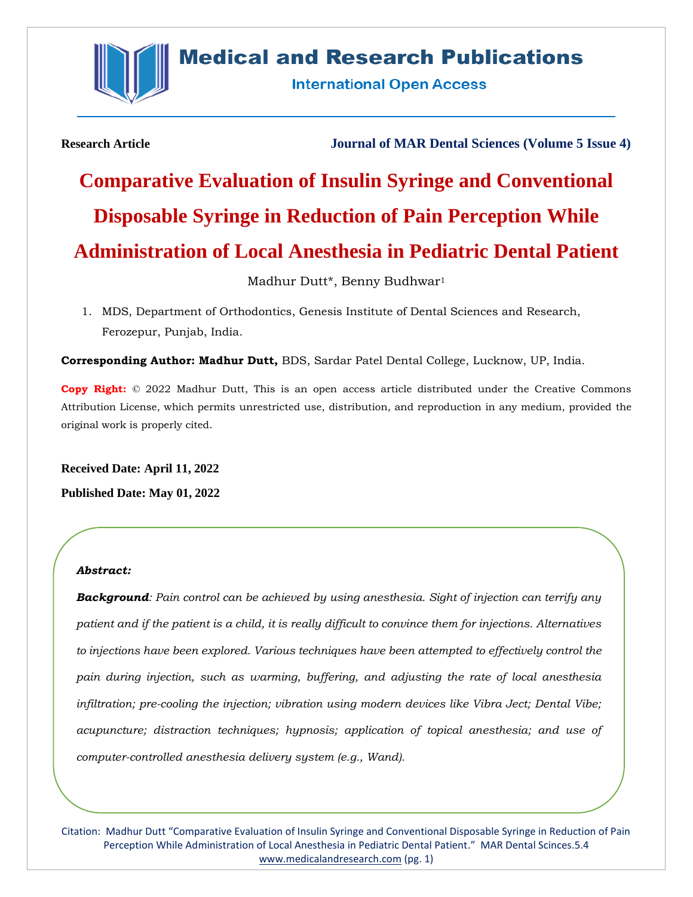

## **Medical and Research Publications**

**International Open Access** 

**Research Article Journal of MAR Dental Sciences (Volume 5 Issue 4)**

# **Comparative Evaluation of Insulin Syringe and Conventional Disposable Syringe in Reduction of Pain Perception While Administration of Local Anesthesia in Pediatric Dental Patient**

### Madhur Dutt\*, Benny Budhwar<sup>1</sup>

1. MDS, Department of Orthodontics, Genesis Institute of Dental Sciences and Research, Ferozepur, Punjab, India.

**Corresponding Author: Madhur Dutt,** BDS, Sardar Patel Dental College, Lucknow, UP, India.

**Copy Right:** © 2022 Madhur Dutt, This is an open access article distributed under the Creative Commons Attribution License, which permits unrestricted use, distribution, and reproduction in any medium, provided the original work is properly cited.

**Received Date: April 11, 2022 Published Date: May 01, 2022**

#### *Abstract:*

*Background: Pain control can be achieved by using anesthesia. Sight of injection can terrify any patient and if the patient is a child, it is really difficult to convince them for injections. Alternatives to injections have been explored. Various techniques have been attempted to effectively control the pain during injection, such as warming, buffering, and adjusting the rate of local anesthesia infiltration; pre-cooling the injection; vibration using modern devices like Vibra Ject; Dental Vibe; acupuncture; distraction techniques; hypnosis; application of topical anesthesia; and use of computer-controlled anesthesia delivery system (e.g., Wand).* 

Citation: Madhur Dutt "Comparative Evaluation of Insulin Syringe and Conventional Disposable Syringe in Reduction of Pain Perception While Administration of Local Anesthesia in Pediatric Dental Patient." MAR Dental Scinces.5.4 [www.medicalandresearch.com](http://www.medicalandresearch.com/) (pg. 1)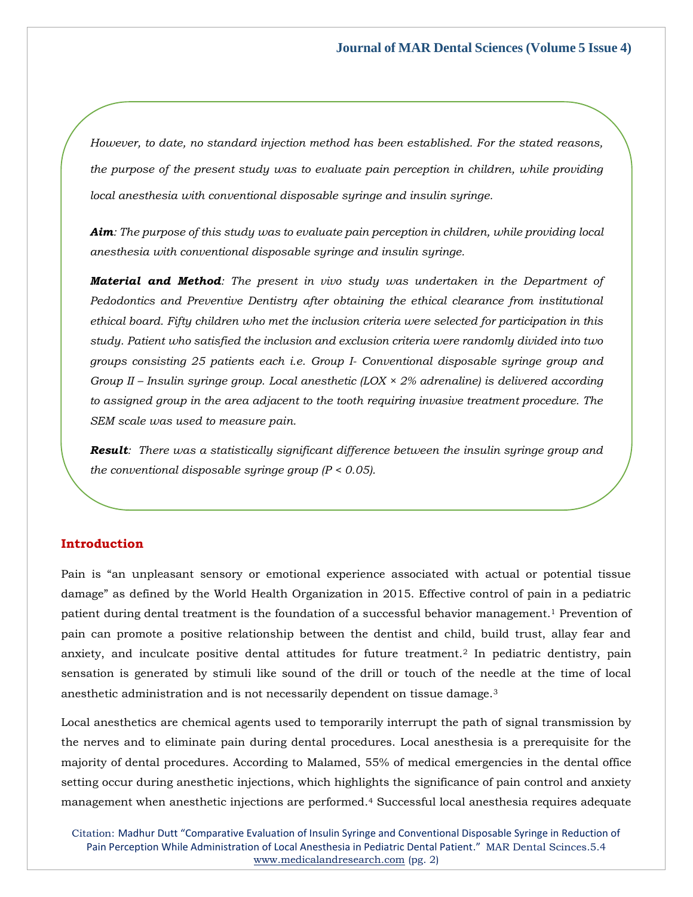*However, to date, no standard injection method has been established. For the stated reasons, the purpose of the present study was to evaluate pain perception in children, while providing local anesthesia with conventional disposable syringe and insulin syringe.*

*Aim: The purpose of this study was to evaluate pain perception in children, while providing local anesthesia with conventional disposable syringe and insulin syringe.* 

*Material and Method: The present in vivo study was undertaken in the Department of Pedodontics and Preventive Dentistry after obtaining the ethical clearance from institutional ethical board. Fifty children who met the inclusion criteria were selected for participation in this study. Patient who satisfied the inclusion and exclusion criteria were randomly divided into two groups consisting 25 patients each i.e. Group I- Conventional disposable syringe group and Group II – Insulin syringe group. Local anesthetic (LOX × 2% adrenaline) is delivered according to assigned group in the area adjacent to the tooth requiring invasive treatment procedure. The SEM scale was used to measure pain.*

*Result: There was a statistically significant difference between the insulin syringe group and the conventional disposable syringe group (P < 0.05).*

*Conclusion: Insulin syringe is effective during local anesthetic injection administration to* 

#### **Introduction** *Keywords: Local anesthesia, Disposable syringe, Insulin syringe*

Pain is "an unpleasant sensory or emotional experience associated with actual or potential tissue damage" as defined by the World Health Organization in 2015. Effective control of pain in a pediatric patient during dental treatment is the foundation of a successful behavior management.<sup>1</sup> Prevention of pain can promote a positive relationship between the dentist and child, build trust, allay fear and anxiety, and inculcate positive dental attitudes for future treatment.<sup>2</sup> In pediatric dentistry, pain sensation is generated by stimuli like sound of the drill or touch of the needle at the time of local anesthetic administration and is not necessarily dependent on tissue damage.<sup>3</sup>

Local anesthetics are chemical agents used to temporarily interrupt the path of signal transmission by the nerves and to eliminate pain during dental procedures. Local anesthesia is a prerequisite for the majority of dental procedures. According to Malamed, 55% of medical emergencies in the dental office setting occur during anesthetic injections, which highlights the significance of pain control and anxiety management when anesthetic injections are performed.<sup>4</sup> Successful local anesthesia requires adequate

Citation: Madhur Dutt "Comparative Evaluation of Insulin Syringe and Conventional Disposable Syringe in Reduction of Pain Perception While Administration of Local Anesthesia in Pediatric Dental Patient." MAR Dental Scinces.5.4 [www.medicalandresearch.com](http://www.medicalandresearch.com/) (pg. 2)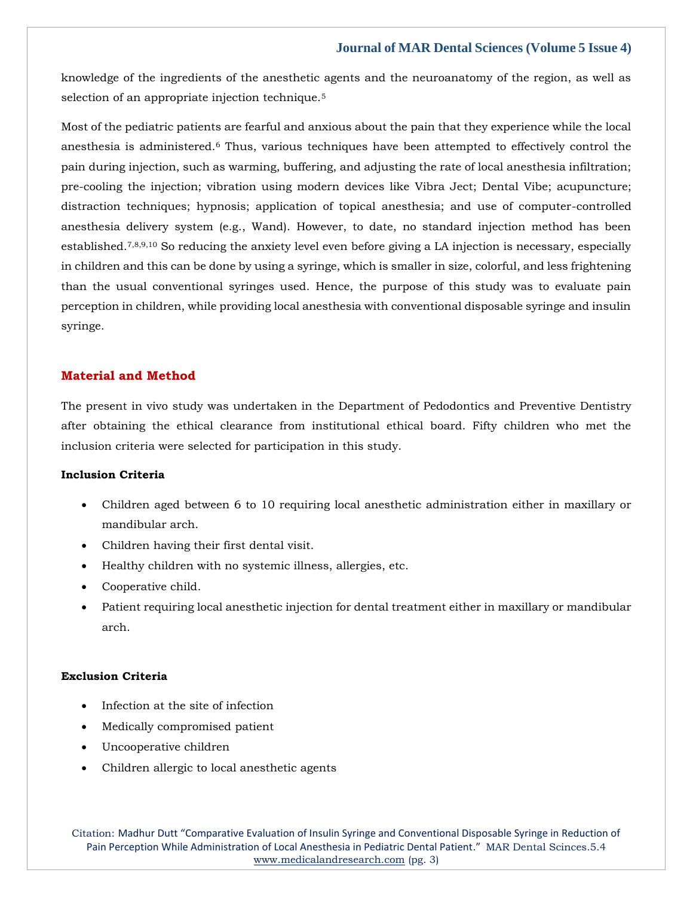knowledge of the ingredients of the anesthetic agents and the neuroanatomy of the region, as well as selection of an appropriate injection technique.<sup>5</sup>

Most of the pediatric patients are fearful and anxious about the pain that they experience while the local anesthesia is administered.<sup>6</sup> Thus, various techniques have been attempted to effectively control the pain during injection, such as warming, buffering, and adjusting the rate of local anesthesia infiltration; pre-cooling the injection; vibration using modern devices like Vibra Ject; Dental Vibe; acupuncture; distraction techniques; hypnosis; application of topical anesthesia; and use of computer-controlled anesthesia delivery system (e.g., Wand). However, to date, no standard injection method has been established.7,8,9,10 So reducing the anxiety level even before giving a LA injection is necessary, especially in children and this can be done by using a syringe, which is smaller in size, colorful, and less frightening than the usual conventional syringes used. Hence, the purpose of this study was to evaluate pain perception in children, while providing local anesthesia with conventional disposable syringe and insulin syringe.

#### **Material and Method**

The present in vivo study was undertaken in the Department of Pedodontics and Preventive Dentistry after obtaining the ethical clearance from institutional ethical board. Fifty children who met the inclusion criteria were selected for participation in this study.

#### **Inclusion Criteria**

- Children aged between 6 to 10 requiring local anesthetic administration either in maxillary or mandibular arch.
- Children having their first dental visit.
- Healthy children with no systemic illness, allergies, etc.
- Cooperative child.
- Patient requiring local anesthetic injection for dental treatment either in maxillary or mandibular arch.

#### **Exclusion Criteria**

- Infection at the site of infection
- Medically compromised patient
- Uncooperative children
- Children allergic to local anesthetic agents

Citation: Madhur Dutt "Comparative Evaluation of Insulin Syringe and Conventional Disposable Syringe in Reduction of Pain Perception While Administration of Local Anesthesia in Pediatric Dental Patient." MAR Dental Scinces.5.4 [www.medicalandresearch.com](http://www.medicalandresearch.com/) (pg. 3)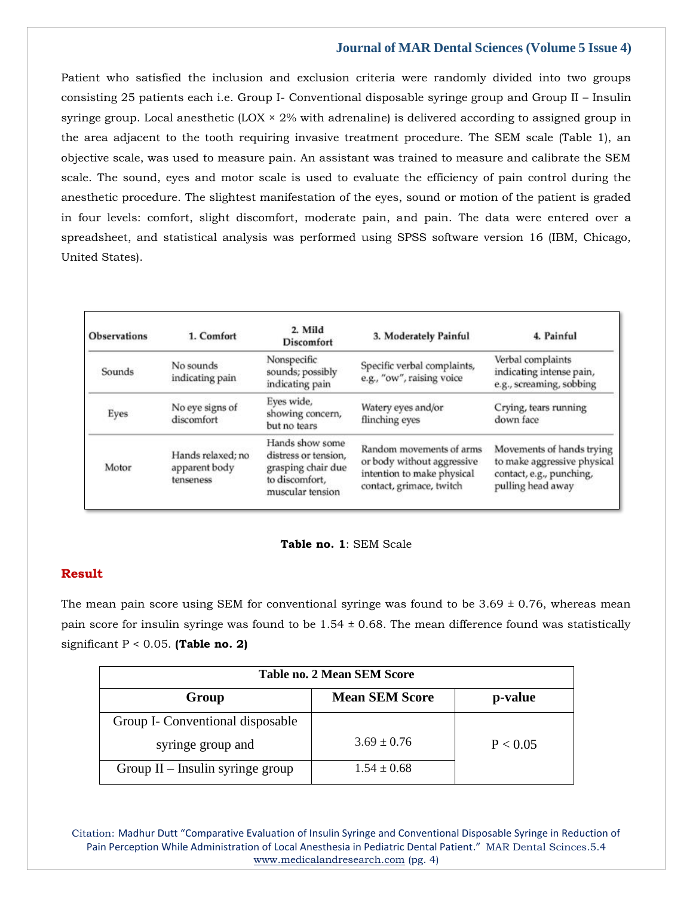Patient who satisfied the inclusion and exclusion criteria were randomly divided into two groups consisting 25 patients each i.e. Group I- Conventional disposable syringe group and Group II – Insulin syringe group. Local anesthetic  $(LOX \times 2\%$  with adrenaline) is delivered according to assigned group in the area adjacent to the tooth requiring invasive treatment procedure. The SEM scale (Table 1), an objective scale, was used to measure pain. An assistant was trained to measure and calibrate the SEM scale. The sound, eyes and motor scale is used to evaluate the efficiency of pain control during the anesthetic procedure. The slightest manifestation of the eyes, sound or motion of the patient is graded in four levels: comfort, slight discomfort, moderate pain, and pain. The data were entered over a spreadsheet, and statistical analysis was performed using SPSS software version 16 (IBM, Chicago, United States).

| <b>Observations</b> | 1. Comfort                                      | 2. Mild<br><b>Discomfort</b>                                                                        | 3. Moderately Painful                                                                                            | 4. Painful                                                                                                |
|---------------------|-------------------------------------------------|-----------------------------------------------------------------------------------------------------|------------------------------------------------------------------------------------------------------------------|-----------------------------------------------------------------------------------------------------------|
| Sounds              | No sounds<br>indicating pain                    | Nonspecific<br>sounds; possibly<br>indicating pain                                                  | Specific verbal complaints,<br>e.g., "ow", raising voice                                                         | Verbal complaints<br>indicating intense pain,<br>e.g., screaming, sobbing                                 |
| Eyes                | No eye signs of<br>discomfort                   | Eves wide,<br>showing concern,<br>but no tears                                                      | Watery eyes and/or<br>flinching eyes                                                                             | Crying, tears running<br>down face                                                                        |
| Motor               | Hands relaxed; no<br>apparent body<br>tenseness | Hands show some<br>distress or tension,<br>grasping chair due<br>to discomfort.<br>muscular tension | Random movements of arms<br>or body without aggressive<br>intention to make physical<br>contact, grimace, twitch | Movements of hands trying<br>to make aggressive physical<br>contact, e.g., punching,<br>pulling head away |

#### **Table no. 1**: SEM Scale

#### **Result**

The mean pain score using SEM for conventional syringe was found to be  $3.69 \pm 0.76$ , whereas mean pain score for insulin syringe was found to be  $1.54 \pm 0.68$ . The mean difference found was statistically significant P < 0.05. **(Table no. 2)**

| Table no. 2 Mean SEM Score         |                       |          |  |  |
|------------------------------------|-----------------------|----------|--|--|
| Group                              | <b>Mean SEM Score</b> | p-value  |  |  |
| Group I- Conventional disposable   |                       |          |  |  |
| syringe group and                  | $3.69 \pm 0.76$       | P < 0.05 |  |  |
| Group $II$ – Insulin syringe group | $1.54 \pm 0.68$       |          |  |  |

Citation: Madhur Dutt "Comparative Evaluation of Insulin Syringe and Conventional Disposable Syringe in Reduction of Pain Perception While Administration of Local Anesthesia in Pediatric Dental Patient." MAR Dental Scinces.5.4 [www.medicalandresearch.com](http://www.medicalandresearch.com/) (pg. 4)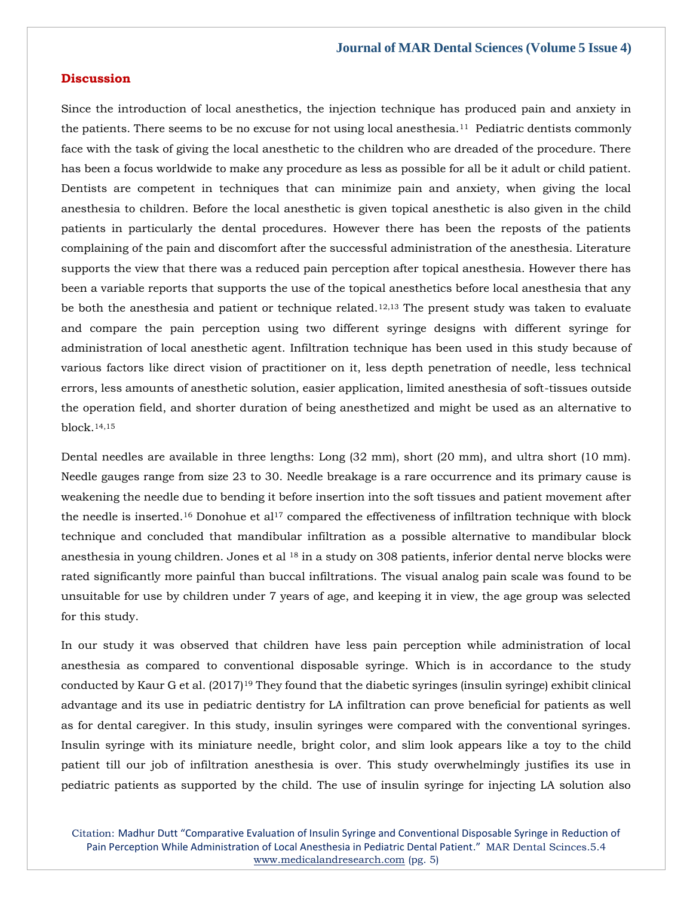#### **Discussion**

Since the introduction of local anesthetics, the injection technique has produced pain and anxiety in the patients. There seems to be no excuse for not using local anesthesia.<sup>11</sup> Pediatric dentists commonly face with the task of giving the local anesthetic to the children who are dreaded of the procedure. There has been a focus worldwide to make any procedure as less as possible for all be it adult or child patient. Dentists are competent in techniques that can minimize pain and anxiety, when giving the local anesthesia to children. Before the local anesthetic is given topical anesthetic is also given in the child patients in particularly the dental procedures. However there has been the reposts of the patients complaining of the pain and discomfort after the successful administration of the anesthesia. Literature supports the view that there was a reduced pain perception after topical anesthesia. However there has been a variable reports that supports the use of the topical anesthetics before local anesthesia that any be both the anesthesia and patient or technique related.<sup>12,13</sup> The present study was taken to evaluate and compare the pain perception using two different syringe designs with different syringe for administration of local anesthetic agent. Infiltration technique has been used in this study because of various factors like direct vision of practitioner on it, less depth penetration of needle, less technical errors, less amounts of anesthetic solution, easier application, limited anesthesia of soft-tissues outside the operation field, and shorter duration of being anesthetized and might be used as an alternative to block.14,15

Dental needles are available in three lengths: Long (32 mm), short (20 mm), and ultra short (10 mm). Needle gauges range from size 23 to 30. Needle breakage is a rare occurrence and its primary cause is weakening the needle due to bending it before insertion into the soft tissues and patient movement after the needle is inserted.<sup>16</sup> Donohue et al<sup>17</sup> compared the effectiveness of infiltration technique with block technique and concluded that mandibular infiltration as a possible alternative to mandibular block anesthesia in young children. Jones et al  $18$  in a study on 308 patients, inferior dental nerve blocks were rated significantly more painful than buccal infiltrations. The visual analog pain scale was found to be unsuitable for use by children under 7 years of age, and keeping it in view, the age group was selected for this study.

In our study it was observed that children have less pain perception while administration of local anesthesia as compared to conventional disposable syringe. Which is in accordance to the study conducted by Kaur G et al.  $(2017)^{19}$  They found that the diabetic syringes (insulin syringe) exhibit clinical advantage and its use in pediatric dentistry for LA infiltration can prove beneficial for patients as well as for dental caregiver. In this study, insulin syringes were compared with the conventional syringes. Insulin syringe with its miniature needle, bright color, and slim look appears like a toy to the child patient till our job of infiltration anesthesia is over. This study overwhelmingly justifies its use in pediatric patients as supported by the child. The use of insulin syringe for injecting LA solution also

Citation: Madhur Dutt "Comparative Evaluation of Insulin Syringe and Conventional Disposable Syringe in Reduction of Pain Perception While Administration of Local Anesthesia in Pediatric Dental Patient." MAR Dental Scinces.5.4 [www.medicalandresearch.com](http://www.medicalandresearch.com/) (pg. 5)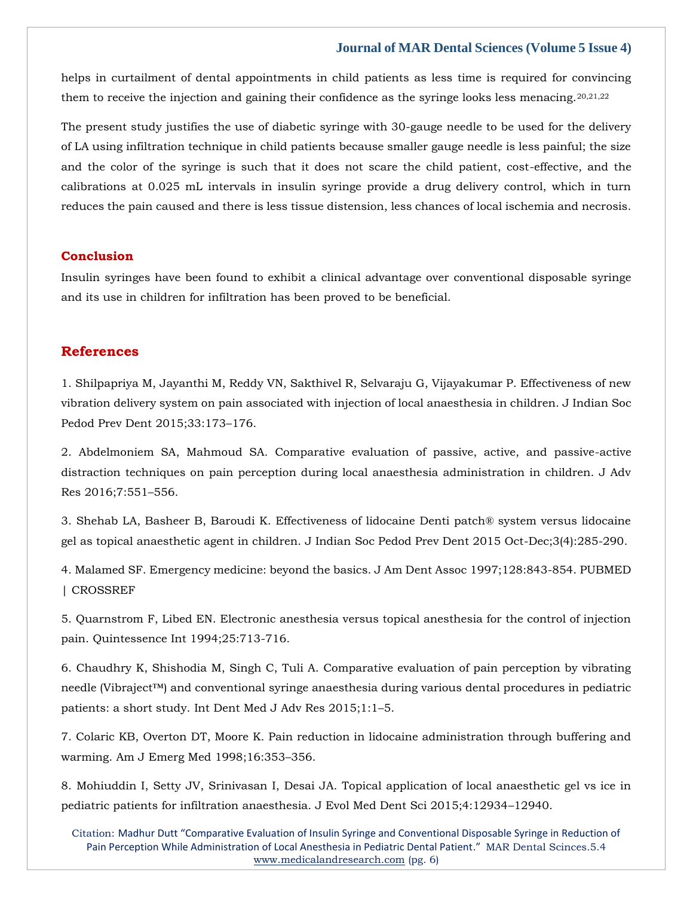helps in curtailment of dental appointments in child patients as less time is required for convincing them to receive the injection and gaining their confidence as the syringe looks less menacing. $20,21,22$ 

The present study justifies the use of diabetic syringe with 30-gauge needle to be used for the delivery of LA using infiltration technique in child patients because smaller gauge needle is less painful; the size and the color of the syringe is such that it does not scare the child patient, cost-effective, and the calibrations at 0.025 mL intervals in insulin syringe provide a drug delivery control, which in turn reduces the pain caused and there is less tissue distension, less chances of local ischemia and necrosis.

#### **Conclusion**

Insulin syringes have been found to exhibit a clinical advantage over conventional disposable syringe and its use in children for infiltration has been proved to be beneficial.

#### **References**

1. [Shilpapriya M, Jayanthi M, Reddy VN, Sakthivel R, Selvaraju G, Vijayakumar P. Effectiveness of new](https://www.google.com/search?q=Effectiveness+of+new+vibration+delivery+system+on+pain+associated+with+injection+of+local+anaesthesia+in+children&oq=Effectiveness+of+new+vibration+delivery+system+on+pain+associated+with+injection+of+local+anaesthesia+in+children&aqs=chrome..69i57.1567j0j7&sourceid=chrome&ie=UTF-8)  [vibration delivery system on pain associated with injection of local anaesthesia in children. J Indian Soc](https://www.google.com/search?q=Effectiveness+of+new+vibration+delivery+system+on+pain+associated+with+injection+of+local+anaesthesia+in+children&oq=Effectiveness+of+new+vibration+delivery+system+on+pain+associated+with+injection+of+local+anaesthesia+in+children&aqs=chrome..69i57.1567j0j7&sourceid=chrome&ie=UTF-8)  [Pedod Prev Dent 2015;33:173](https://www.google.com/search?q=Effectiveness+of+new+vibration+delivery+system+on+pain+associated+with+injection+of+local+anaesthesia+in+children&oq=Effectiveness+of+new+vibration+delivery+system+on+pain+associated+with+injection+of+local+anaesthesia+in+children&aqs=chrome..69i57.1567j0j7&sourceid=chrome&ie=UTF-8)–176.

2. [Abdelmoniem SA, Mahmoud SA. Comparative evaluation of passive, active, and passive-active](https://www.google.com/search?q=Comparative+evaluation+of+passive%2C+active%2C+and+passive-active+distraction+techniques+on+pain+perception+during+local+anaesthesia+administration+in+children&sxsrf=APq-WBuzzM64UzQVSoB6f8U9NY95G_qMeA%3A1649913956093&ei=ZLBXYrqoBd2UseMP7-qh2Ak&ved=0ahUKEwi66oy66JL3AhVdSmwGHW91CJsQ4dUDCA4&oq=Comparative+evaluation+of+passive%2C+active%2C+and+passive-active+distraction+techniques+on+pain+perception+during+local+anaesthesia+administration+in+children&gs_lcp=Cgdnd3Mtd2l6EAwyBwgjEOoCECcyBwgjEOoCECcyBwgjEOoCECcyBwgjEOoCECcyBwgjEOoCECcyBwgjEOoCECcyBwgjEOoCECcyBwgjEOoCECcyBwgjEOoCECcyBwgjEOoCECdKBAhBGABKBAhGGABQelh6YP4EaAFwAHgAgAEAiAEAkgEAmAEAoAEBoAECsAEKwAEB&sclient=gws-wiz)  [distraction techniques on pain perception during local anaesthesia administration in children. J Adv](https://www.google.com/search?q=Comparative+evaluation+of+passive%2C+active%2C+and+passive-active+distraction+techniques+on+pain+perception+during+local+anaesthesia+administration+in+children&sxsrf=APq-WBuzzM64UzQVSoB6f8U9NY95G_qMeA%3A1649913956093&ei=ZLBXYrqoBd2UseMP7-qh2Ak&ved=0ahUKEwi66oy66JL3AhVdSmwGHW91CJsQ4dUDCA4&oq=Comparative+evaluation+of+passive%2C+active%2C+and+passive-active+distraction+techniques+on+pain+perception+during+local+anaesthesia+administration+in+children&gs_lcp=Cgdnd3Mtd2l6EAwyBwgjEOoCECcyBwgjEOoCECcyBwgjEOoCECcyBwgjEOoCECcyBwgjEOoCECcyBwgjEOoCECcyBwgjEOoCECcyBwgjEOoCECcyBwgjEOoCECcyBwgjEOoCECdKBAhBGABKBAhGGABQelh6YP4EaAFwAHgAgAEAiAEAkgEAmAEAoAEBoAECsAEKwAEB&sclient=gws-wiz)  [Res 2016;7:551](https://www.google.com/search?q=Comparative+evaluation+of+passive%2C+active%2C+and+passive-active+distraction+techniques+on+pain+perception+during+local+anaesthesia+administration+in+children&sxsrf=APq-WBuzzM64UzQVSoB6f8U9NY95G_qMeA%3A1649913956093&ei=ZLBXYrqoBd2UseMP7-qh2Ak&ved=0ahUKEwi66oy66JL3AhVdSmwGHW91CJsQ4dUDCA4&oq=Comparative+evaluation+of+passive%2C+active%2C+and+passive-active+distraction+techniques+on+pain+perception+during+local+anaesthesia+administration+in+children&gs_lcp=Cgdnd3Mtd2l6EAwyBwgjEOoCECcyBwgjEOoCECcyBwgjEOoCECcyBwgjEOoCECcyBwgjEOoCECcyBwgjEOoCECcyBwgjEOoCECcyBwgjEOoCECcyBwgjEOoCECcyBwgjEOoCECdKBAhBGABKBAhGGABQelh6YP4EaAFwAHgAgAEAiAEAkgEAmAEAoAEBoAECsAEKwAEB&sclient=gws-wiz)–556.

3. [Shehab LA, Basheer B, Baroudi K. Effectiveness of lidocaine Denti patch® system versus lidocaine](https://www.google.com/search?q=Effectiveness+of+lidocaine+Denti+patch%C2%AE+system+versus+lidocaine+gel+as+topical+anaesthetic+agent+in+children&sxsrf=APq-WBv7NsUtmoYwDC7wfeJSXZ4KwueLFg%3A1649914023162&ei=p7BXYpS-CeWNseMPtZKw-Ag&ved=0ahUKEwjUrYra6JL3AhXlRmwGHTUJDI8Q4dUDCA4&oq=Effectiveness+of+lidocaine+Denti+patch%C2%AE+system+versus+lidocaine+gel+as+topical+anaesthetic+agent+in+children&gs_lcp=Cgdnd3Mtd2l6EAwyBwgjEOoCECcyBwgjEOoCECcyBwgjEOoCECcyBwgjEOoCECcyBwgjEOoCECcyBwgjEOoCECcyBwgjEOoCECcyBwgjEOoCECcyBwgjEOoCECcyBwgjEOoCECdKBAhBGABKBAhGGABQ_gJY_gJg_QdoAXAAeACAAQCIAQCSAQCYAQCgAQGgAQKwAQrAAQE&sclient=gws-wiz)  [gel as topical anaesthetic agent in children. J Indian Soc Pedod Prev Dent 2015 Oct-Dec;3\(4\):285-290.](https://www.google.com/search?q=Effectiveness+of+lidocaine+Denti+patch%C2%AE+system+versus+lidocaine+gel+as+topical+anaesthetic+agent+in+children&sxsrf=APq-WBv7NsUtmoYwDC7wfeJSXZ4KwueLFg%3A1649914023162&ei=p7BXYpS-CeWNseMPtZKw-Ag&ved=0ahUKEwjUrYra6JL3AhXlRmwGHTUJDI8Q4dUDCA4&oq=Effectiveness+of+lidocaine+Denti+patch%C2%AE+system+versus+lidocaine+gel+as+topical+anaesthetic+agent+in+children&gs_lcp=Cgdnd3Mtd2l6EAwyBwgjEOoCECcyBwgjEOoCECcyBwgjEOoCECcyBwgjEOoCECcyBwgjEOoCECcyBwgjEOoCECcyBwgjEOoCECcyBwgjEOoCECcyBwgjEOoCECcyBwgjEOoCECdKBAhBGABKBAhGGABQ_gJY_gJg_QdoAXAAeACAAQCIAQCSAQCYAQCgAQGgAQKwAQrAAQE&sclient=gws-wiz)

4. [Malamed SF. Emergency medicine: beyond the basics. J Am Dent Assoc 1997;128:843-854. PUBMED](https://www.google.com/search?q=Emergency+medicine%3A+beyond+the+basics&sxsrf=APq-WBv2L3Pvczyi8rwfTA-bXkTxhoMlFg%3A1649914301343&ei=vbFXYo3IFKSq4t4PysKf6AY&ved=0ahUKEwjNmt3e6ZL3AhUkldgFHUrhB20Q4dUDCA4&oq=Emergency+medicine%3A+beyond+the+basics&gs_lcp=Cgdnd3Mtd2l6EAwyBQghEKABOgcIIxDqAhAnSgQIQRgASgQIRhgAUPoCWPoCYM0GaAFwAXgAgAGDAYgBgwGSAQMwLjGYAQCgAQGgAQKwAQrAAQE&sclient=gws-wiz)  [| CROSSREF](https://www.google.com/search?q=Emergency+medicine%3A+beyond+the+basics&sxsrf=APq-WBv2L3Pvczyi8rwfTA-bXkTxhoMlFg%3A1649914301343&ei=vbFXYo3IFKSq4t4PysKf6AY&ved=0ahUKEwjNmt3e6ZL3AhUkldgFHUrhB20Q4dUDCA4&oq=Emergency+medicine%3A+beyond+the+basics&gs_lcp=Cgdnd3Mtd2l6EAwyBQghEKABOgcIIxDqAhAnSgQIQRgASgQIRhgAUPoCWPoCYM0GaAFwAXgAgAGDAYgBgwGSAQMwLjGYAQCgAQGgAQKwAQrAAQE&sclient=gws-wiz)

5. [Quarnstrom F, Libed EN. Electronic anesthesia versus topical anesthesia for the control of injection](https://www.google.com/search?q=Electronic+anesthesia+versus+topical+anesthesia+for+the+control+of+injection+pain.&sxsrf=APq-WBtlesruYI5rCUZIgQk0XlX9eU1I4A%3A1649914316673&ei=zLFXYujiKMDaz7sPl8q4yAg&ved=0ahUKEwjo-ITm6ZL3AhVA7XMBHRclDokQ4dUDCA4&oq=Electronic+anesthesia+versus+topical+anesthesia+for+the+control+of+injection+pain.&gs_lcp=Cgdnd3Mtd2l6EAw6BwgjEOoCECdKBAhBGABKBAhGGABQ2QpY2Qpg6hJoAXAAeACAAWiIAWiSAQMwLjGYAQCgAQGgAQKwAQrAAQE&sclient=gws-wiz)  [pain. Quintessence Int 1994;25:713-716.](https://www.google.com/search?q=Electronic+anesthesia+versus+topical+anesthesia+for+the+control+of+injection+pain.&sxsrf=APq-WBtlesruYI5rCUZIgQk0XlX9eU1I4A%3A1649914316673&ei=zLFXYujiKMDaz7sPl8q4yAg&ved=0ahUKEwjo-ITm6ZL3AhVA7XMBHRclDokQ4dUDCA4&oq=Electronic+anesthesia+versus+topical+anesthesia+for+the+control+of+injection+pain.&gs_lcp=Cgdnd3Mtd2l6EAw6BwgjEOoCECdKBAhBGABKBAhGGABQ2QpY2Qpg6hJoAXAAeACAAWiIAWiSAQMwLjGYAQCgAQGgAQKwAQrAAQE&sclient=gws-wiz)

6. [Chaudhry K, Shishodia M, Singh C, Tuli A. Comparative evaluation of pain perception by vibrating](https://www.google.com/search?q=Comparative+evaluation+of+pain+perception+by+vibrating+needle+%28Vibraject%E2%84%A2%29+and+conventional+syringe+anaesthesia+during+various+dental+procedures+in+pediatric+patients%3A+a+short+study&sxsrf=APq-WBvddpZIzrFu2N7UfOZGfNDhAND-lQ%3A1649914334524&ei=3rFXYs3XH7jD3LUPraOnoAw&ved=0ahUKEwjNvsbu6ZL3AhW4IbcAHa3RCcQQ4dUDCA4&oq=Comparative+evaluation+of+pain+perception+by+vibrating+needle+%28Vibraject%E2%84%A2%29+and+conventional+syringe+anaesthesia+during+various+dental+procedures+in+pediatric+patients%3A+a+short+study&gs_lcp=Cgdnd3Mtd2l6EAwyBwgjEOoCECcyBwgjEOoCECcyBwgjEOoCECcyBwgjEOoCECcyBwgjEOoCECcyBwgjEOoCECcyBwgjEOoCECcyBwgjEOoCECcyBwgjEOoCECcyBwgjEOoCECdKBAhBGABKBAhGGABQ8wRY8wRglQloAXAAeACAAQCIAQCSAQCYAQCgAQGgAQKwAQrAAQE&sclient=gws-wiz)  [needle \(Vibraject™\) and conventional syringe anaesthesia during various dental procedures in pediatric](https://www.google.com/search?q=Comparative+evaluation+of+pain+perception+by+vibrating+needle+%28Vibraject%E2%84%A2%29+and+conventional+syringe+anaesthesia+during+various+dental+procedures+in+pediatric+patients%3A+a+short+study&sxsrf=APq-WBvddpZIzrFu2N7UfOZGfNDhAND-lQ%3A1649914334524&ei=3rFXYs3XH7jD3LUPraOnoAw&ved=0ahUKEwjNvsbu6ZL3AhW4IbcAHa3RCcQQ4dUDCA4&oq=Comparative+evaluation+of+pain+perception+by+vibrating+needle+%28Vibraject%E2%84%A2%29+and+conventional+syringe+anaesthesia+during+various+dental+procedures+in+pediatric+patients%3A+a+short+study&gs_lcp=Cgdnd3Mtd2l6EAwyBwgjEOoCECcyBwgjEOoCECcyBwgjEOoCECcyBwgjEOoCECcyBwgjEOoCECcyBwgjEOoCECcyBwgjEOoCECcyBwgjEOoCECcyBwgjEOoCECcyBwgjEOoCECdKBAhBGABKBAhGGABQ8wRY8wRglQloAXAAeACAAQCIAQCSAQCYAQCgAQGgAQKwAQrAAQE&sclient=gws-wiz)  patients: a short study. [Int Dent Med J Adv Res 2015;1:1](https://www.google.com/search?q=Comparative+evaluation+of+pain+perception+by+vibrating+needle+%28Vibraject%E2%84%A2%29+and+conventional+syringe+anaesthesia+during+various+dental+procedures+in+pediatric+patients%3A+a+short+study&sxsrf=APq-WBvddpZIzrFu2N7UfOZGfNDhAND-lQ%3A1649914334524&ei=3rFXYs3XH7jD3LUPraOnoAw&ved=0ahUKEwjNvsbu6ZL3AhW4IbcAHa3RCcQQ4dUDCA4&oq=Comparative+evaluation+of+pain+perception+by+vibrating+needle+%28Vibraject%E2%84%A2%29+and+conventional+syringe+anaesthesia+during+various+dental+procedures+in+pediatric+patients%3A+a+short+study&gs_lcp=Cgdnd3Mtd2l6EAwyBwgjEOoCECcyBwgjEOoCECcyBwgjEOoCECcyBwgjEOoCECcyBwgjEOoCECcyBwgjEOoCECcyBwgjEOoCECcyBwgjEOoCECcyBwgjEOoCECcyBwgjEOoCECdKBAhBGABKBAhGGABQ8wRY8wRglQloAXAAeACAAQCIAQCSAQCYAQCgAQGgAQKwAQrAAQE&sclient=gws-wiz)–5.

7. Colaric KB, Overton [DT, Moore K. Pain reduction in lidocaine administration through buffering and](https://www.google.com/search?q=Pain+reduction+in+lidocaine+administration+through+buffering+and+warming.+&sxsrf=APq-WBsfQD4n2mai5AutfVtuyKEddVSphg%3A1649914351521&ei=77FXYuu2H5fgz7sPocqbwAE&ved=0ahUKEwir6tP26ZL3AhUX8HMBHSHlBhgQ4dUDCA4&oq=Pain+reduction+in+lidocaine+administration+through+buffering+and+warming.+&gs_lcp=Cgdnd3Mtd2l6EAw6BwgjEOoCECdKBAhBGABKBAhGGABQhQNYhQNgpwZoAXAAeACAAXeIAXeSAQMwLjGYAQCgAQGgAQKwAQrAAQE&sclient=gws-wiz)  [warming. Am J Emerg Med 1998;16:353](https://www.google.com/search?q=Pain+reduction+in+lidocaine+administration+through+buffering+and+warming.+&sxsrf=APq-WBsfQD4n2mai5AutfVtuyKEddVSphg%3A1649914351521&ei=77FXYuu2H5fgz7sPocqbwAE&ved=0ahUKEwir6tP26ZL3AhUX8HMBHSHlBhgQ4dUDCA4&oq=Pain+reduction+in+lidocaine+administration+through+buffering+and+warming.+&gs_lcp=Cgdnd3Mtd2l6EAw6BwgjEOoCECdKBAhBGABKBAhGGABQhQNYhQNgpwZoAXAAeACAAXeIAXeSAQMwLjGYAQCgAQGgAQKwAQrAAQE&sclient=gws-wiz)–356.

8. Mohiuddin I, Setty [JV, Srinivasan I, Desai JA. Topical application of local anaesthetic gel vs ice in](https://www.google.com/search?q=Topical+application+of+local+anaesthetic+gel+vs+ice+in+pediatric+patients+for+infiltration+anaesthesia&sxsrf=APq-WBtYRNFXMqX3KkvxdbkiGA9nbyA-hg%3A1649914368255&ei=ALJXYrKRD5jB3LUPtqGCmAs&ved=0ahUKEwiykdH-6ZL3AhWYILcAHbaQALMQ4dUDCA4&oq=Topical+application+of+local+anaesthetic+gel+vs+ice+in+pediatric+patients+for+infiltration+anaesthesia&gs_lcp=Cgdnd3Mtd2l6EAwyBwgjEOoCECcyBwgjEOoCECcyBwgjEOoCECcyBwgjEOoCECcyBwgjEOoCECcyBwgjEOoCECcyBwgjEOoCECcyBwgjEOoCECcyBwgjEOoCECcyBwgjEOoCECdKBAhBGABKBAhGGABQowNYowNgrAhoAXAAeACAAQCIAQCSAQCYAQCgAQGgAQKwAQrAAQE&sclient=gws-wiz)  [pediatric patients for infiltration anaesthesia. J Evol Med Dent Sci 2015;4:12934](https://www.google.com/search?q=Topical+application+of+local+anaesthetic+gel+vs+ice+in+pediatric+patients+for+infiltration+anaesthesia&sxsrf=APq-WBtYRNFXMqX3KkvxdbkiGA9nbyA-hg%3A1649914368255&ei=ALJXYrKRD5jB3LUPtqGCmAs&ved=0ahUKEwiykdH-6ZL3AhWYILcAHbaQALMQ4dUDCA4&oq=Topical+application+of+local+anaesthetic+gel+vs+ice+in+pediatric+patients+for+infiltration+anaesthesia&gs_lcp=Cgdnd3Mtd2l6EAwyBwgjEOoCECcyBwgjEOoCECcyBwgjEOoCECcyBwgjEOoCECcyBwgjEOoCECcyBwgjEOoCECcyBwgjEOoCECcyBwgjEOoCECcyBwgjEOoCECcyBwgjEOoCECdKBAhBGABKBAhGGABQowNYowNgrAhoAXAAeACAAQCIAQCSAQCYAQCgAQGgAQKwAQrAAQE&sclient=gws-wiz)–12940.

Citation: Madhur Dutt "Comparative Evaluation of Insulin Syringe and Conventional Disposable Syringe in Reduction of Pain Perception While Administration of Local Anesthesia in Pediatric Dental Patient." MAR Dental Scinces.5.4 [www.medicalandresearch.com](http://www.medicalandresearch.com/) (pg. 6)